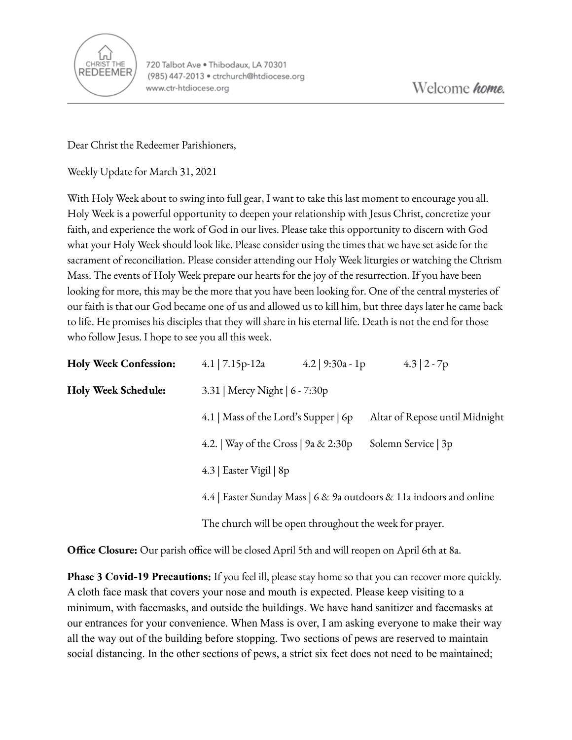

Dear Christ the Redeemer Parishioners,

Weekly Update for March 31, 2021

With Holy Week about to swing into full gear, I want to take this last moment to encourage you all. Holy Week is a powerful opportunity to deepen your relationship with Jesus Christ, concretize your faith, and experience the work of God in our lives. Please take this opportunity to discern with God what your Holy Week should look like. Please consider using the times that we have set aside for the sacrament of reconciliation. Please consider attending our Holy Week liturgies or watching the Chrism Mass. The events of Holy Week prepare our hearts for the joy of the resurrection. If you have been looking for more, this may be the more that you have been looking for. One of the central mysteries of our faith is that our God became one of us and allowed us to kill him, but three days later he came back to life. He promises his disciples that they will share in his eternal life. Death is not the end for those who follow Jesus. I hope to see you all this week.

| <b>Holy Week Confession:</b> | 4.1   $7.15p-12a$                                                                                                                                         | 4.2   $9:30a - 1p$             |                     | $4.3 \mid 2 - 7p$ |  |
|------------------------------|-----------------------------------------------------------------------------------------------------------------------------------------------------------|--------------------------------|---------------------|-------------------|--|
| Holy Week Schedule:          | 3.31   Mercy Night   6 - 7:30p                                                                                                                            |                                |                     |                   |  |
|                              | 4.1   Mass of the Lord's Supper   6p                                                                                                                      | Altar of Repose until Midnight |                     |                   |  |
|                              | 4.2.   Way of the Cross   $9a \& 2:30p$                                                                                                                   |                                | Solemn Service   3p |                   |  |
|                              | 4.3   Easter Vigil   8p<br>4.4   Easter Sunday Mass   6 & 9a outdoors & 11a indoors and online<br>The church will be open throughout the week for prayer. |                                |                     |                   |  |
|                              |                                                                                                                                                           |                                |                     |                   |  |
|                              |                                                                                                                                                           |                                |                     |                   |  |

**Office Closure:** Our parish office will be closed April 5th and will reopen on April 6th at 8a.

**Phase 3 Covid-19 Precautions:** If you feel ill, please stay home so that you can recover more quickly. A cloth face mask that covers your nose and mouth is expected. Please keep visiting to a minimum, with facemasks, and outside the buildings. We have hand sanitizer and facemasks at our entrances for your convenience. When Mass is over, I am asking everyone to make their way all the way out of the building before stopping. Two sections of pews are reserved to maintain social distancing. In the other sections of pews, a strict six feet does not need to be maintained;